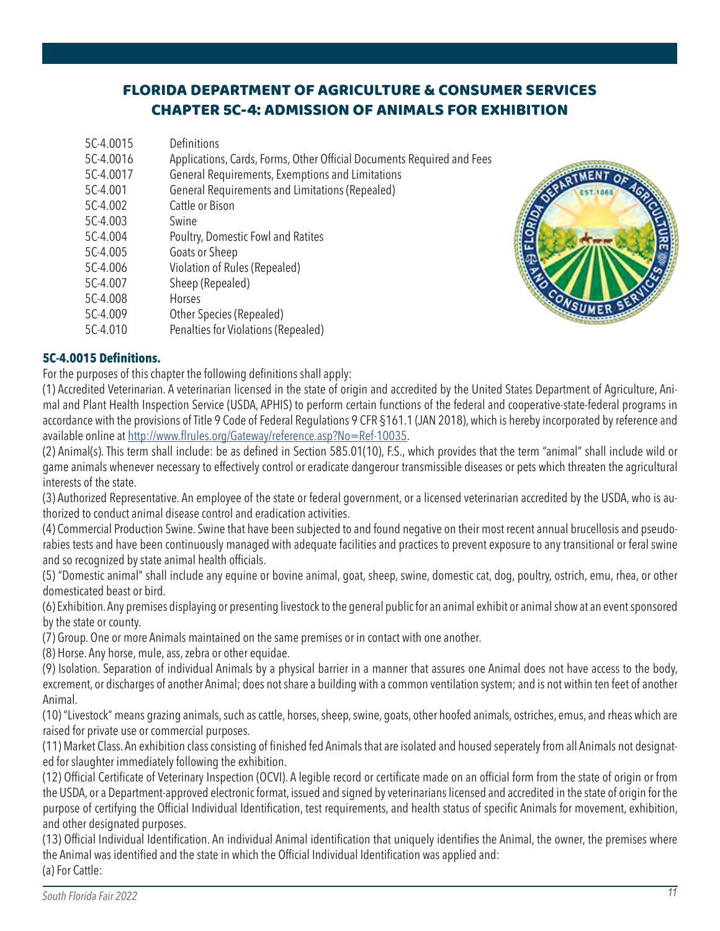# FLORIDA DEPARTMENT OF AGRICULTURE & CONSUMER SERVICES CHAPTER 5C-4: ADMISSION OF ANIMALS FOR EXHIBITION

| 5C-4.0015 | Definitions                                                            |
|-----------|------------------------------------------------------------------------|
| 5C-4.0016 | Applications, Cards, Forms, Other Official Documents Required and Fees |
| 5C-4.0017 | General Requirements, Exemptions and Limitations                       |
| 5C-4.001  | General Requirements and Limitations (Repealed)                        |
| 5C-4.002  | Cattle or Bison                                                        |
| 5C-4.003  | Swine                                                                  |
| 5C-4.004  | Poultry, Domestic Fowl and Ratites                                     |
| 5C-4.005  | Goats or Sheep                                                         |
| 5C-4.006  | Violation of Rules (Repealed)                                          |
| 5C-4.007  | Sheep (Repealed)                                                       |
| 5C-4.008  | Horses                                                                 |
| 5C-4.009  | Other Species (Repealed)                                               |
| 5C-4.010  | Penalties for Violations (Repealed)                                    |



### **5C-4.0015 Definitions.**

For the purposes of this chapter the following definitions shall apply:

(1) Accredited Veterinarian. A veterinarian licensed in the state of origin and accredited by the United States Department of Agriculture, Animal and Plant Health Inspection Service (USDA, APHIS) to perform certain functions of the federal and cooperative-state-federal programs in accordance with the provisions of Title 9 Code of Federal Regulations 9 CFR §161.1 (JAN 2018), which is hereby incorporated by reference and available online at http://www.flrules.org/Gateway/reference.asp?No=Ref-10035.

(2) Animal(s). This term shall include: be as defined in Section 585.01(10), F.S., which provides that the term "animal" shall include wild or game animals whenever necessary to effectively control or eradicate dangerour transmissible diseases or pets which threaten the agricultural interests of the state.

(3) Authorized Representative. An employee of the state or federal government, or a licensed veterinarian accredited by the USDA, who is authorized to conduct animal disease control and eradication activities.

(4) Commercial Production Swine. Swine that have been subjected to and found negative on their most recent annual brucellosis and pseudorabies tests and have been continuously managed with adequate facilities and practices to prevent exposure to any transitional or feral swine and so recognized by state animal health officials.

(5) "Domestic animal" shall include any equine or bovine animal, goat, sheep, swine, domestic cat, dog, poultry, ostrich, emu, rhea, or other domesticated beast or bird.

(6) Exhibition. Any premises displaying or presenting livestock to the general public for an animal exhibit or animal show at an event sponsored by the state or county.

(7) Group. One or more Animals maintained on the same premises or in contact with one another.

(8) Horse. Any horse, mule, ass, zebra or other equidae.

(9) Isolation. Separation of individual Animals by a physical barrier in a manner that assures one Animal does not have access to the body, excrement, or discharges of another Animal; does not share a building with a common ventilation system; and is not within ten feet of another Animal.

(10) "Livestock" means grazing animals, such as cattle, horses, sheep, swine, goats, other hoofed animals, ostriches, emus, and rheas which are raised for private use or commercial purposes.

(11) Market Class. An exhibition class consisting of finished fed Animals that are isolated and housed seperately from all Animals not designated for slaughter immediately following the exhibition.

(12) Official Certificate of Veterinary Inspection (OCVI). A legible record or certificate made on an official form from the state of origin or from the USDA, or a Department-approved electronic format, issued and signed by veterinarians licensed and accredited in the state of origin for the purpose of certifying the Official Individual Identification, test requirements, and health status of specific Animals for movement, exhibition, and other designated purposes.

(13) Official Individual Identification. An individual Animal identification that uniquely identifies the Animal, the owner, the premises where the Animal was identified and the state in which the Official Individual Identification was applied and: (a) For Cattle: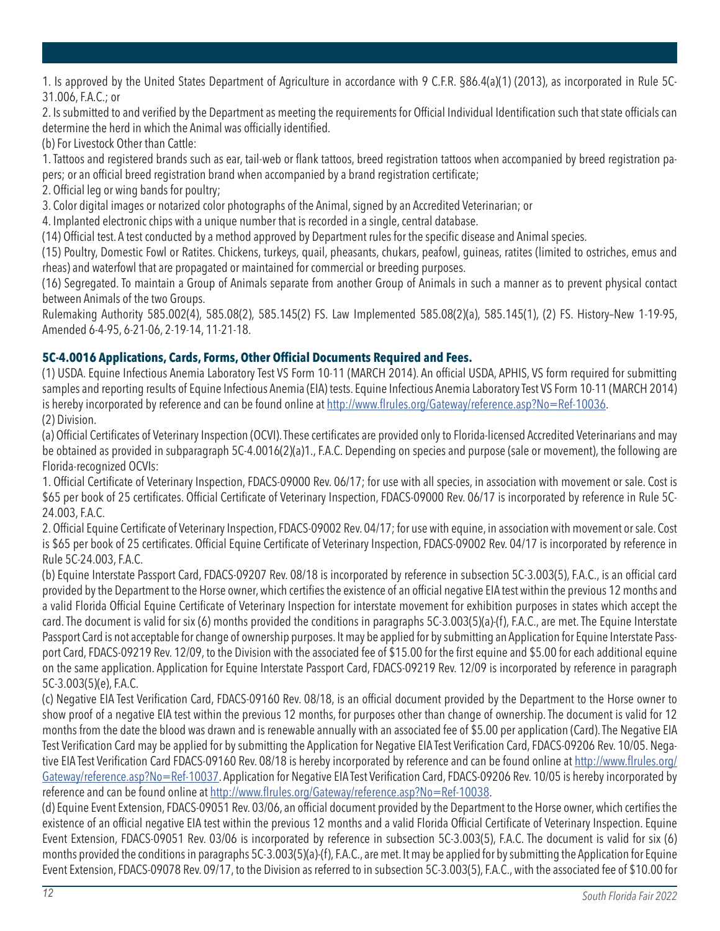1. Is approved by the United States Department of Agriculture in accordance with 9 C.F.R. §86.4(a)(1) (2013), as incorporated in Rule 5C-31.006, F.A.C.; or

2. Is submitted to and verified by the Department as meeting the requirements for Official Individual Identification such that state officials can determine the herd in which the Animal was officially identified.

(b) For Livestock Other than Cattle:

1. Tattoos and registered brands such as ear, tail-web or flank tattoos, breed registration tattoos when accompanied by breed registration papers; or an official breed registration brand when accompanied by a brand registration certificate;

2. Official leg or wing bands for poultry;

3. Color digital images or notarized color photographs of the Animal, signed by an Accredited Veterinarian; or

4. Implanted electronic chips with a unique number that is recorded in a single, central database.

(14) Official test. A test conducted by a method approved by Department rules for the specific disease and Animal species.

(15) Poultry, Domestic Fowl or Ratites. Chickens, turkeys, quail, pheasants, chukars, peafowl, guineas, ratites (limited to ostriches, emus and rheas) and waterfowl that are propagated or maintained for commercial or breeding purposes.

(16) Segregated. To maintain a Group of Animals separate from another Group of Animals in such a manner as to prevent physical contact between Animals of the two Groups.

Rulemaking Authority 585.002(4), 585.08(2), 585.145(2) FS. Law Implemented 585.08(2)(a), 585.145(1), (2) FS. History–New 1-19-95, Amended 6-4-95, 6-21-06, 2-19-14, 11-21-18.

# **5C-4.0016 Applications, Cards, Forms, Other Official Documents Required and Fees.**

(1) USDA. Equine Infectious Anemia Laboratory Test VS Form 10-11 (MARCH 2014). An official USDA, APHIS, VS form required for submitting samples and reporting results of Equine Infectious Anemia (EIA) tests. Equine Infectious Anemia Laboratory Test VS Form 10-11 (MARCH 2014) is hereby incorporated by reference and can be found online at http://www.flrules.org/Gateway/reference.asp?No=Ref-10036. (2) Division.

(a) Official Certificates of Veterinary Inspection (OCVI). These certificates are provided only to Florida-licensed Accredited Veterinarians and may be obtained as provided in subparagraph 5C-4.0016(2)(a)1., F.A.C. Depending on species and purpose (sale or movement), the following are Florida-recognized OCVIs:

1. Official Certificate of Veterinary Inspection, FDACS-09000 Rev. 06/17; for use with all species, in association with movement or sale. Cost is \$65 per book of 25 certificates. Official Certificate of Veterinary Inspection, FDACS-09000 Rev. 06/17 is incorporated by reference in Rule 5C-24.003, F.A.C.

2. Official Equine Certificate of Veterinary Inspection, FDACS-09002 Rev. 04/17; for use with equine, in association with movement or sale. Cost is \$65 per book of 25 certificates. Official Equine Certificate of Veterinary Inspection, FDACS-09002 Rev. 04/17 is incorporated by reference in Rule 5C-24.003, F.A.C.

(b) Equine Interstate Passport Card, FDACS-09207 Rev. 08/18 is incorporated by reference in subsection 5C-3.003(5), F.A.C., is an official card provided by the Department to the Horse owner, which certifies the existence of an official negative EIA test within the previous 12 months and a valid Florida Official Equine Certificate of Veterinary Inspection for interstate movement for exhibition purposes in states which accept the card. The document is valid for six (6) months provided the conditions in paragraphs 5C-3.003(5)(a)-(f), F.A.C., are met. The Equine Interstate Passport Card is not acceptable for change of ownership purposes. It may be applied for by submitting an Application for Equine Interstate Passport Card, FDACS-09219 Rev. 12/09, to the Division with the associated fee of \$15.00 for the first equine and \$5.00 for each additional equine on the same application. Application for Equine Interstate Passport Card, FDACS-09219 Rev. 12/09 is incorporated by reference in paragraph 5C-3.003(5)(e), F.A.C.

(c) Negative EIA Test Verification Card, FDACS-09160 Rev. 08/18, is an official document provided by the Department to the Horse owner to show proof of a negative EIA test within the previous 12 months, for purposes other than change of ownership. The document is valid for 12 months from the date the blood was drawn and is renewable annually with an associated fee of \$5.00 per application (Card). The Negative EIA Test Verification Card may be applied for by submitting the Application for Negative EIA Test Verification Card, FDACS-09206 Rev. 10/05. Negative EIA Test Verification Card FDACS-09160 Rev. 08/18 is hereby incorporated by reference and can be found online at http://www.flrules.org/ Gateway/reference.asp?No=Ref-10037. Application for Negative EIA Test Verification Card, FDACS-09206 Rev. 10/05 is hereby incorporated by reference and can be found online at http://www.flrules.org/Gateway/reference.asp?No=Ref-10038.

(d) Equine Event Extension, FDACS-09051 Rev. 03/06, an official document provided by the Department to the Horse owner, which certifies the existence of an official negative EIA test within the previous 12 months and a valid Florida Official Certificate of Veterinary Inspection. Equine Event Extension, FDACS-09051 Rev. 03/06 is incorporated by reference in subsection 5C-3.003(5), F.A.C. The document is valid for six (6) months provided the conditions in paragraphs 5C-3.003(5)(a)-(f), F.A.C., are met. It may be applied for by submitting the Application for Equine Event Extension, FDACS-09078 Rev. 09/17, to the Division as referred to in subsection 5C-3.003(5), F.A.C., with the associated fee of \$10.00 for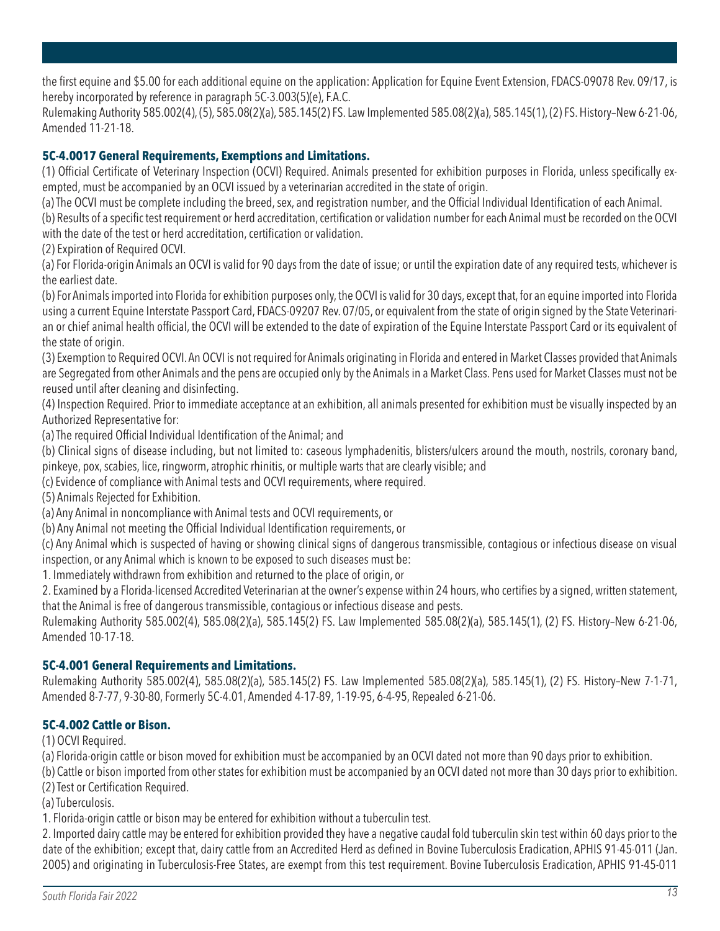the first equine and \$5.00 for each additional equine on the application: Application for Equine Event Extension, FDACS-09078 Rev. 09/17, is hereby incorporated by reference in paragraph 5C-3.003(5)(e), F.A.C.

Rulemaking Authority 585.002(4), (5), 585.08(2)(a), 585.145(2) FS. Law Implemented 585.08(2)(a), 585.145(1), (2) FS. History–New 6-21-06, Amended 11-21-18.

### **5C-4.0017 General Requirements, Exemptions and Limitations.**

(1) Official Certificate of Veterinary Inspection (OCVI) Required. Animals presented for exhibition purposes in Florida, unless specifically exempted, must be accompanied by an OCVI issued by a veterinarian accredited in the state of origin.

(a) The OCVI must be complete including the breed, sex, and registration number, and the Official Individual Identification of each Animal.

(b) Results of a specific test requirement or herd accreditation, certification or validation number for each Animal must be recorded on the OCVI with the date of the test or herd accreditation, certification or validation.

(2) Expiration of Required OCVI.

(a) For Florida-origin Animals an OCVI is valid for 90 days from the date of issue; or until the expiration date of any required tests, whichever is the earliest date.

(b) For Animals imported into Florida for exhibition purposes only, the OCVI is valid for 30 days, except that, for an equine imported into Florida using a current Equine Interstate Passport Card, FDACS-09207 Rev. 07/05, or equivalent from the state of origin signed by the State Veterinarian or chief animal health official, the OCVI will be extended to the date of expiration of the Equine Interstate Passport Card or its equivalent of the state of origin.

(3) Exemption to Required OCVI. An OCVI is not required for Animals originating in Florida and entered in Market Classes provided that Animals are Segregated from other Animals and the pens are occupied only by the Animals in a Market Class. Pens used for Market Classes must not be reused until after cleaning and disinfecting.

(4) Inspection Required. Prior to immediate acceptance at an exhibition, all animals presented for exhibition must be visually inspected by an Authorized Representative for:

(a) The required Official Individual Identification of the Animal; and

(b) Clinical signs of disease including, but not limited to: caseous lymphadenitis, blisters/ulcers around the mouth, nostrils, coronary band, pinkeye, pox, scabies, lice, ringworm, atrophic rhinitis, or multiple warts that are clearly visible; and

(c) Evidence of compliance with Animal tests and OCVI requirements, where required.

(5) Animals Rejected for Exhibition.

(a) Any Animal in noncompliance with Animal tests and OCVI requirements, or

(b) Any Animal not meeting the Official Individual Identification requirements, or

(c) Any Animal which is suspected of having or showing clinical signs of dangerous transmissible, contagious or infectious disease on visual inspection, or any Animal which is known to be exposed to such diseases must be:

1. Immediately withdrawn from exhibition and returned to the place of origin, or

2. Examined by a Florida-licensed Accredited Veterinarian at the owner's expense within 24 hours, who certifies by a signed, written statement, that the Animal is free of dangerous transmissible, contagious or infectious disease and pests.

Rulemaking Authority 585.002(4), 585.08(2)(a), 585.145(2) FS. Law Implemented 585.08(2)(a), 585.145(1), (2) FS. History–New 6-21-06, Amended 10-17-18.

### **5C-4.001 General Requirements and Limitations.**

Rulemaking Authority 585.002(4), 585.08(2)(a), 585.145(2) FS. Law Implemented 585.08(2)(a), 585.145(1), (2) FS. History–New 7-1-71, Amended 8-7-77, 9-30-80, Formerly 5C-4.01, Amended 4-17-89, 1-19-95, 6-4-95, Repealed 6-21-06.

### **5C-4.002 Cattle or Bison.**

(1) OCVI Required.

(a) Florida-origin cattle or bison moved for exhibition must be accompanied by an OCVI dated not more than 90 days prior to exhibition.

(b) Cattle or bison imported from other states for exhibition must be accompanied by an OCVI dated not more than 30 days prior to exhibition. (2) Test or Certification Required.

(a) Tuberculosis.

1. Florida-origin cattle or bison may be entered for exhibition without a tuberculin test.

2. Imported dairy cattle may be entered for exhibition provided they have a negative caudal fold tuberculin skin test within 60 days prior to the date of the exhibition; except that, dairy cattle from an Accredited Herd as defined in Bovine Tuberculosis Eradication, APHIS 91-45-011 (Jan. 2005) and originating in Tuberculosis-Free States, are exempt from this test requirement. Bovine Tuberculosis Eradication, APHIS 91-45-011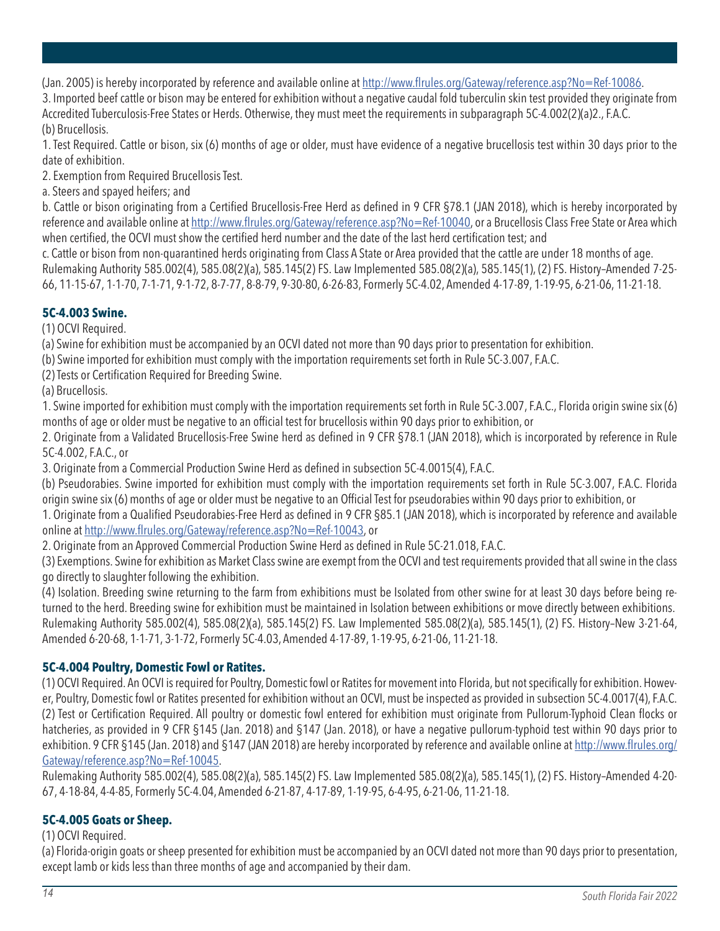(Jan. 2005) is hereby incorporated by reference and available online at http://www.flrules.org/Gateway/reference.asp?No=Ref-10086.

3. Imported beef cattle or bison may be entered for exhibition without a negative caudal fold tuberculin skin test provided they originate from Accredited Tuberculosis-Free States or Herds. Otherwise, they must meet the requirements in subparagraph 5C-4.002(2)(a)2., F.A.C. (b) Brucellosis.

1. Test Required. Cattle or bison, six (6) months of age or older, must have evidence of a negative brucellosis test within 30 days prior to the date of exhibition.

2. Exemption from Required Brucellosis Test.

a. Steers and spayed heifers; and

b. Cattle or bison originating from a Certified Brucellosis-Free Herd as defined in 9 CFR §78.1 (JAN 2018), which is hereby incorporated by reference and available online at http://www.flrules.org/Gateway/reference.asp?No=Ref-10040, or a Brucellosis Class Free State or Area which when certified, the OCVI must show the certified herd number and the date of the last herd certification test; and

c. Cattle or bison from non-quarantined herds originating from Class A State or Area provided that the cattle are under 18 months of age. Rulemaking Authority 585.002(4), 585.08(2)(a), 585.145(2) FS. Law Implemented 585.08(2)(a), 585.145(1), (2) FS. History–Amended 7-25- 66, 11-15-67, 1-1-70, 7-1-71, 9-1-72, 8-7-77, 8-8-79, 9-30-80, 6-26-83, Formerly 5C-4.02, Amended 4-17-89, 1-19-95, 6-21-06, 11-21-18.

# **5C-4.003 Swine.**

(1) OCVI Required.

(a) Swine for exhibition must be accompanied by an OCVI dated not more than 90 days prior to presentation for exhibition.

(b) Swine imported for exhibition must comply with the importation requirements set forth in Rule 5C-3.007, F.A.C.

(2) Tests or Certification Required for Breeding Swine.

(a) Brucellosis.

1. Swine imported for exhibition must comply with the importation requirements set forth in Rule 5C-3.007, F.A.C., Florida origin swine six (6) months of age or older must be negative to an official test for brucellosis within 90 days prior to exhibition, or

2. Originate from a Validated Brucellosis-Free Swine herd as defined in 9 CFR §78.1 (JAN 2018), which is incorporated by reference in Rule 5C-4.002, F.A.C., or

3. Originate from a Commercial Production Swine Herd as defined in subsection 5C-4.0015(4), F.A.C.

(b) Pseudorabies. Swine imported for exhibition must comply with the importation requirements set forth in Rule 5C-3.007, F.A.C. Florida origin swine six (6) months of age or older must be negative to an Official Test for pseudorabies within 90 days prior to exhibition, or

1. Originate from a Qualified Pseudorabies-Free Herd as defined in 9 CFR §85.1 (JAN 2018), which is incorporated by reference and available online at http://www.flrules.org/Gateway/reference.asp?No=Ref-10043, or

2. Originate from an Approved Commercial Production Swine Herd as defined in Rule 5C-21.018, F.A.C.

(3) Exemptions. Swine for exhibition as Market Class swine are exempt from the OCVI and test requirements provided that all swine in the class go directly to slaughter following the exhibition.

(4) Isolation. Breeding swine returning to the farm from exhibitions must be Isolated from other swine for at least 30 days before being returned to the herd. Breeding swine for exhibition must be maintained in Isolation between exhibitions or move directly between exhibitions. Rulemaking Authority 585.002(4), 585.08(2)(a), 585.145(2) FS. Law Implemented 585.08(2)(a), 585.145(1), (2) FS. History–New 3-21-64, Amended 6-20-68, 1-1-71, 3-1-72, Formerly 5C-4.03, Amended 4-17-89, 1-19-95, 6-21-06, 11-21-18.

# **5C-4.004 Poultry, Domestic Fowl or Ratites.**

(1) OCVI Required. An OCVI is required for Poultry, Domestic fowl or Ratites for movement into Florida, but not specifically for exhibition. However, Poultry, Domestic fowl or Ratites presented for exhibition without an OCVI, must be inspected as provided in subsection 5C-4.0017(4), F.A.C. (2) Test or Certification Required. All poultry or domestic fowl entered for exhibition must originate from Pullorum-Typhoid Clean flocks or hatcheries, as provided in 9 CFR §145 (Jan. 2018) and §147 (Jan. 2018), or have a negative pullorum-typhoid test within 90 days prior to exhibition. 9 CFR §145 (Jan. 2018) and §147 (JAN 2018) are hereby incorporated by reference and available online at http://www.flrules.org/ Gateway/reference.asp?No=Ref-10045.

Rulemaking Authority 585.002(4), 585.08(2)(a), 585.145(2) FS. Law Implemented 585.08(2)(a), 585.145(1), (2) FS. History–Amended 4-20- 67, 4-18-84, 4-4-85, Formerly 5C-4.04, Amended 6-21-87, 4-17-89, 1-19-95, 6-4-95, 6-21-06, 11-21-18.

# **5C-4.005 Goats or Sheep.**

### (1) OCVI Required.

(a) Florida-origin goats or sheep presented for exhibition must be accompanied by an OCVI dated not more than 90 days prior to presentation, except lamb or kids less than three months of age and accompanied by their dam.